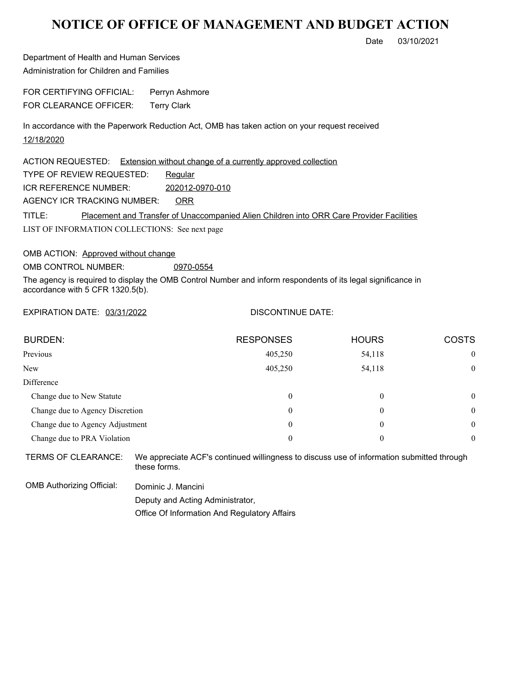## **NOTICE OF OFFICE OF MANAGEMENT AND BUDGET ACTION**

Date 03/10/2021

Department of Health and Human Services Administration for Children and Families

FOR CERTIFYING OFFICIAL: Perryn Ashmore FOR CLEARANCE OFFICER: Terry Clark

In accordance with the Paperwork Reduction Act, OMB has taken action on your request received 12/18/2020

LIST OF INFORMATION COLLECTIONS: See next page ACTION REQUESTED: Extension without change of a currently approved collection TYPE OF REVIEW REQUESTED: Regular TITLE: Placement and Transfer of Unaccompanied Alien Children into ORR Care Provider Facilities ICR REFERENCE NUMBER: 202012-0970-010 AGENCY ICR TRACKING NUMBER: ORR

OMB ACTION: Approved without change

OMB CONTROL NUMBER: 0970-0554

The agency is required to display the OMB Control Number and inform respondents of its legal significance in accordance with 5 CFR 1320.5(b).

EXPIRATION DATE: 03/31/2022

## DISCONTINUE DATE:

| <b>BURDEN:</b>                  | <b>RESPONSES</b> | <b>HOURS</b> | <b>COSTS</b> |
|---------------------------------|------------------|--------------|--------------|
| Previous                        | 405,250          | 54,118       | $\mathbf{0}$ |
| <b>New</b>                      | 405,250          | 54,118       | $\mathbf{0}$ |
| Difference                      |                  |              |              |
| Change due to New Statute       | 0                | $\theta$     | $\theta$     |
| Change due to Agency Discretion | 0                | $\theta$     | $\theta$     |
| Change due to Agency Adjustment | 0                | $\theta$     | $\theta$     |
| Change due to PRA Violation     | 0                | $\theta$     | $\mathbf{0}$ |
|                                 |                  |              |              |

TERMS OF CLEARANCE: We appreciate ACF's continued willingness to discuss use of information submitted through these forms.

OMB Authorizing Official: Dominic J. Mancini Deputy and Acting Administrator,

Office Of Information And Regulatory Affairs